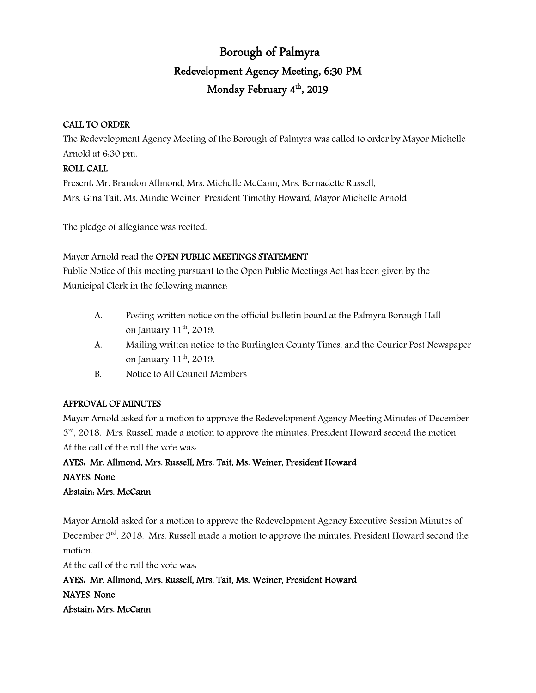# Borough of Palmyra Redevelopment Agency Meeting, 6:30 PM Monday February 4<sup>th</sup>, 2019

#### CALL TO ORDER

The Redevelopment Agency Meeting of the Borough of Palmyra was called to order by Mayor Michelle Arnold at 6:30 pm.

#### ROLL CALL

Present: Mr. Brandon Allmond, Mrs. Michelle McCann, Mrs. Bernadette Russell, Mrs. Gina Tait, Ms. Mindie Weiner, President Timothy Howard, Mayor Michelle Arnold

The pledge of allegiance was recited.

Mayor Arnold read the OPEN PUBLIC MEETINGS STATEMENT

Public Notice of this meeting pursuant to the Open Public Meetings Act has been given by the Municipal Clerk in the following manner:

- A. Posting written notice on the official bulletin board at the Palmyra Borough Hall on January  $11<sup>th</sup>$ , 2019.
- A. Mailing written notice to the Burlington County Times, and the Courier Post Newspaper on January  $11<sup>th</sup>$ , 2019.
- B. Notice to All Council Members

### APPROVAL OF MINUTES

Mayor Arnold asked for a motion to approve the Redevelopment Agency Meeting Minutes of December  $3<sup>rd</sup>$ , 2018. Mrs. Russell made a motion to approve the minutes. President Howard second the motion. At the call of the roll the vote was:

AYES: Mr. Allmond, Mrs. Russell, Mrs. Tait, Ms. Weiner, President Howard NAYES: None Abstain: Mrs. McCann

Mayor Arnold asked for a motion to approve the Redevelopment Agency Executive Session Minutes of December  $3<sup>rd</sup>$ , 2018. Mrs. Russell made a motion to approve the minutes. President Howard second the motion.

At the call of the roll the vote was:

AYES: Mr. Allmond, Mrs. Russell, Mrs. Tait, Ms. Weiner, President Howard NAYES: None Abstain: Mrs. McCann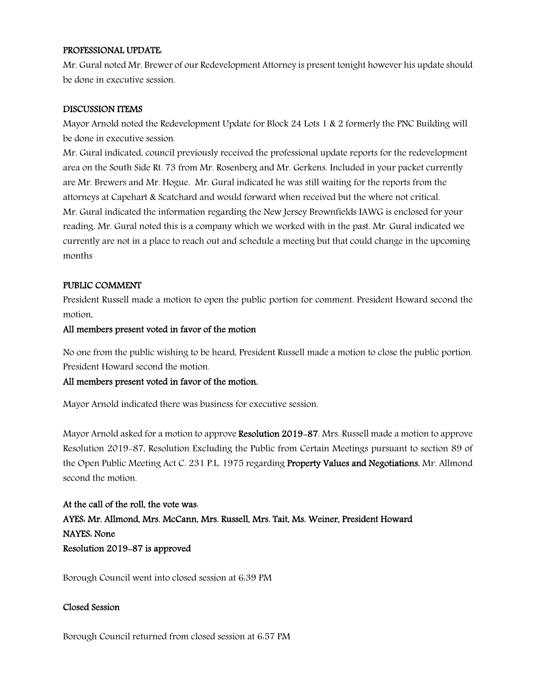#### PROFESSIONAL UPDATE:

Mr. Gural noted Mr. Brewer of our Redevelopment Attorney is present tonight however his update should be done in executive session.

#### DISCUSSION ITEMS

Mayor Arnold noted the Redevelopment Update for Block 24 Lots 1 & 2 formerly the PNC Building will be done in executive session.

Mr. Gural indicated, council previously received the professional update reports for the redevelopment area on the South Side Rt. 73 from Mr. Rosenberg and Mr. Gerkens. Included in your packet currently are Mr. Brewers and Mr. Hogue. Mr. Gural indicated he was still waiting for the reports from the attorneys at Capehart & Scatchard and would forward when received but the where not critical. Mr. Gural indicated the information regarding the New Jersey Brownfields IAWG is enclosed for your reading. Mr. Gural noted this is a company which we worked with in the past. Mr. Gural indicated we currently are not in a place to reach out and schedule a meeting but that could change in the upcoming months

#### PUBLIC COMMENT

President Russell made a motion to open the public portion for comment. President Howard second the motion.

#### All members present voted in favor of the motion

No one from the public wishing to be heard, President Russell made a motion to close the public portion. President Howard second the motion.

#### All members present voted in favor of the motion.

Mayor Arnold indicated there was business for executive session.

Mayor Arnold asked for a motion to approve Resolution 2019–87. Mrs. Russell made a motion to approve Resolution 2019-87, Resolution Excluding the Public from Certain Meetings pursuant to section 89 of the Open Public Meeting Act C. 231 P.L. 1975 regarding Property Values and Negotiations. Mr. Allmond second the motion.

## At the call of the roll, the vote was: AYES: Mr. Allmond, Mrs. McCann, Mrs. Russell, Mrs. Tait, Ms. Weiner, President Howard NAYES: None Resolution 2019-87 is approved

Borough Council went into closed session at 6:39 PM

#### Closed Session

Borough Council returned from closed session at 6:57 PM